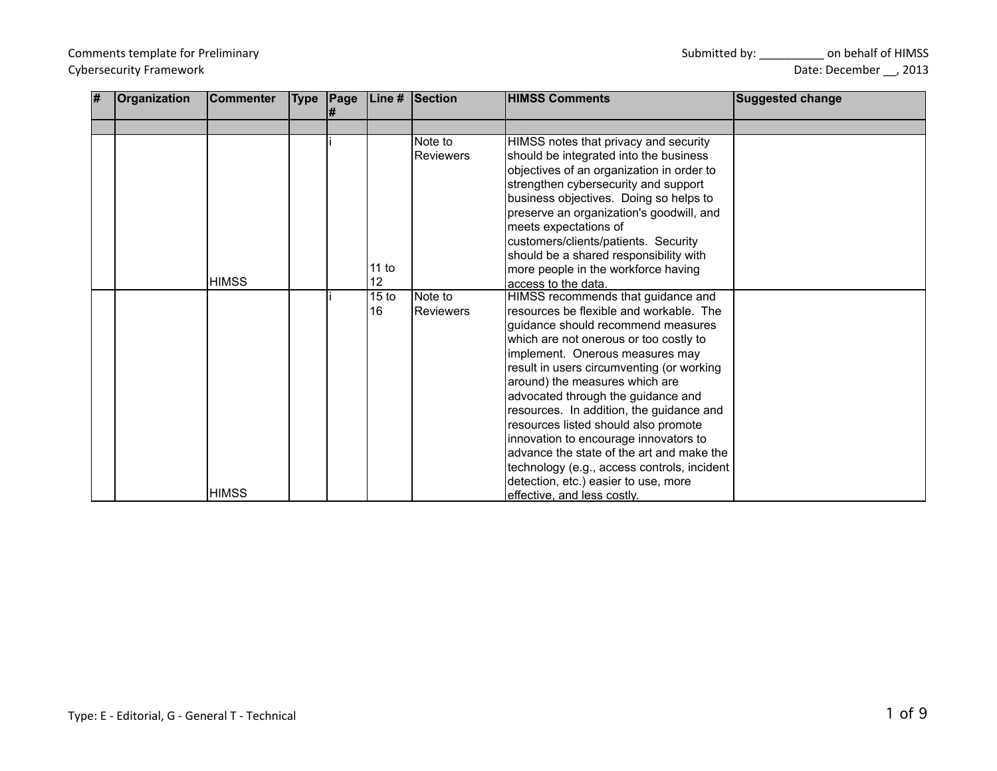| l# | Organization | Commenter    |  |                  | Type Page Line # Section | <b>HIMSS Comments</b>                                     | <b>Suggested change</b> |
|----|--------------|--------------|--|------------------|--------------------------|-----------------------------------------------------------|-------------------------|
|    |              |              |  |                  |                          |                                                           |                         |
|    |              |              |  |                  | Note to                  | HIMSS notes that privacy and security                     |                         |
|    |              |              |  |                  | <b>Reviewers</b>         | should be integrated into the business                    |                         |
|    |              |              |  |                  |                          | objectives of an organization in order to                 |                         |
|    |              |              |  |                  |                          | strengthen cybersecurity and support                      |                         |
|    |              |              |  |                  |                          | business objectives. Doing so helps to                    |                         |
|    |              |              |  |                  |                          | preserve an organization's goodwill, and                  |                         |
|    |              |              |  |                  |                          | meets expectations of                                     |                         |
|    |              |              |  |                  |                          | customers/clients/patients. Security                      |                         |
|    |              |              |  | 11 to            |                          | should be a shared responsibility with                    |                         |
|    |              | <b>HIMSS</b> |  | 12               |                          | more people in the workforce having                       |                         |
|    |              |              |  | 15 <sub>to</sub> | Note to                  | access to the data.<br>HIMSS recommends that guidance and |                         |
|    |              |              |  | 16               | <b>Reviewers</b>         | resources be flexible and workable. The                   |                         |
|    |              |              |  |                  |                          | guidance should recommend measures                        |                         |
|    |              |              |  |                  |                          | which are not onerous or too costly to                    |                         |
|    |              |              |  |                  |                          | implement. Onerous measures may                           |                         |
|    |              |              |  |                  |                          | result in users circumventing (or working                 |                         |
|    |              |              |  |                  |                          | around) the measures which are                            |                         |
|    |              |              |  |                  |                          | advocated through the guidance and                        |                         |
|    |              |              |  |                  |                          | resources. In addition, the guidance and                  |                         |
|    |              |              |  |                  |                          | resources listed should also promote                      |                         |
|    |              |              |  |                  |                          | innovation to encourage innovators to                     |                         |
|    |              |              |  |                  |                          | advance the state of the art and make the                 |                         |
|    |              |              |  |                  |                          | technology (e.g., access controls, incident               |                         |
|    |              |              |  |                  |                          | detection, etc.) easier to use, more                      |                         |
|    |              | <b>HIMSS</b> |  |                  |                          | effective, and less costly.                               |                         |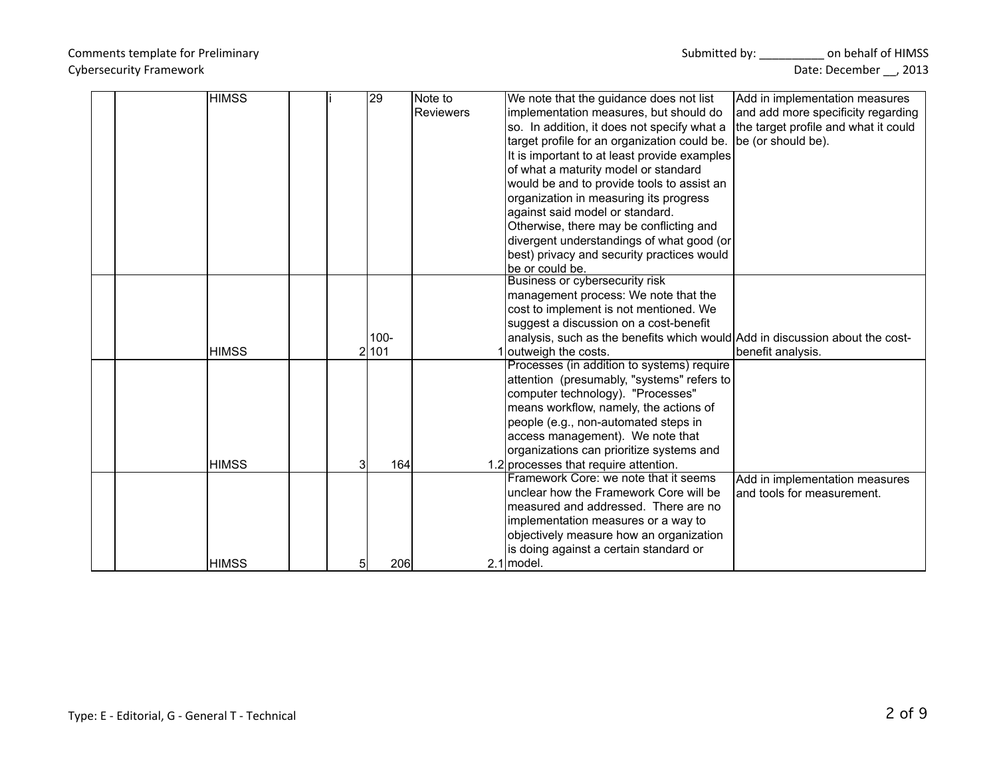| <b>HIMSS</b> |    | 29      | Note to          | We note that the guidance does not list                                      | Add in implementation measures       |
|--------------|----|---------|------------------|------------------------------------------------------------------------------|--------------------------------------|
|              |    |         | <b>Reviewers</b> | implementation measures, but should do                                       | and add more specificity regarding   |
|              |    |         |                  | so. In addition, it does not specify what a                                  | the target profile and what it could |
|              |    |         |                  | target profile for an organization could be.                                 | be (or should be).                   |
|              |    |         |                  | It is important to at least provide examples                                 |                                      |
|              |    |         |                  | of what a maturity model or standard                                         |                                      |
|              |    |         |                  | would be and to provide tools to assist an                                   |                                      |
|              |    |         |                  | organization in measuring its progress                                       |                                      |
|              |    |         |                  | against said model or standard.                                              |                                      |
|              |    |         |                  | Otherwise, there may be conflicting and                                      |                                      |
|              |    |         |                  | divergent understandings of what good (or                                    |                                      |
|              |    |         |                  | best) privacy and security practices would                                   |                                      |
|              |    |         |                  | lbe or could be.                                                             |                                      |
|              |    |         |                  | Business or cybersecurity risk                                               |                                      |
|              |    |         |                  | management process: We note that the                                         |                                      |
|              |    |         |                  | cost to implement is not mentioned. We                                       |                                      |
|              |    |         |                  | suggest a discussion on a cost-benefit                                       |                                      |
|              |    | $100 -$ |                  | analysis, such as the benefits which would Add in discussion about the cost- |                                      |
| <b>HIMSS</b> |    | 2 101   |                  | 1 outweigh the costs.                                                        | benefit analysis.                    |
|              |    |         |                  | Processes (in addition to systems) require                                   |                                      |
|              |    |         |                  | attention (presumably, "systems" refers to                                   |                                      |
|              |    |         |                  | computer technology). "Processes"                                            |                                      |
|              |    |         |                  | means workflow, namely, the actions of                                       |                                      |
|              |    |         |                  | people (e.g., non-automated steps in                                         |                                      |
|              |    |         |                  | access management). We note that                                             |                                      |
|              |    |         |                  | organizations can prioritize systems and                                     |                                      |
| <b>HIMSS</b> |    | 164     |                  | 1.2 processes that require attention.                                        |                                      |
|              |    |         |                  | Framework Core: we note that it seems                                        | Add in implementation measures       |
|              |    |         |                  | lunclear how the Framework Core will be                                      | and tools for measurement.           |
|              |    |         |                  | Imeasured and addressed. There are no                                        |                                      |
|              |    |         |                  | implementation measures or a way to                                          |                                      |
|              |    |         |                  | objectively measure how an organization                                      |                                      |
|              |    |         |                  | is doing against a certain standard or                                       |                                      |
| <b>HIMSS</b> | 51 | 206     |                  | $2.1$ model.                                                                 |                                      |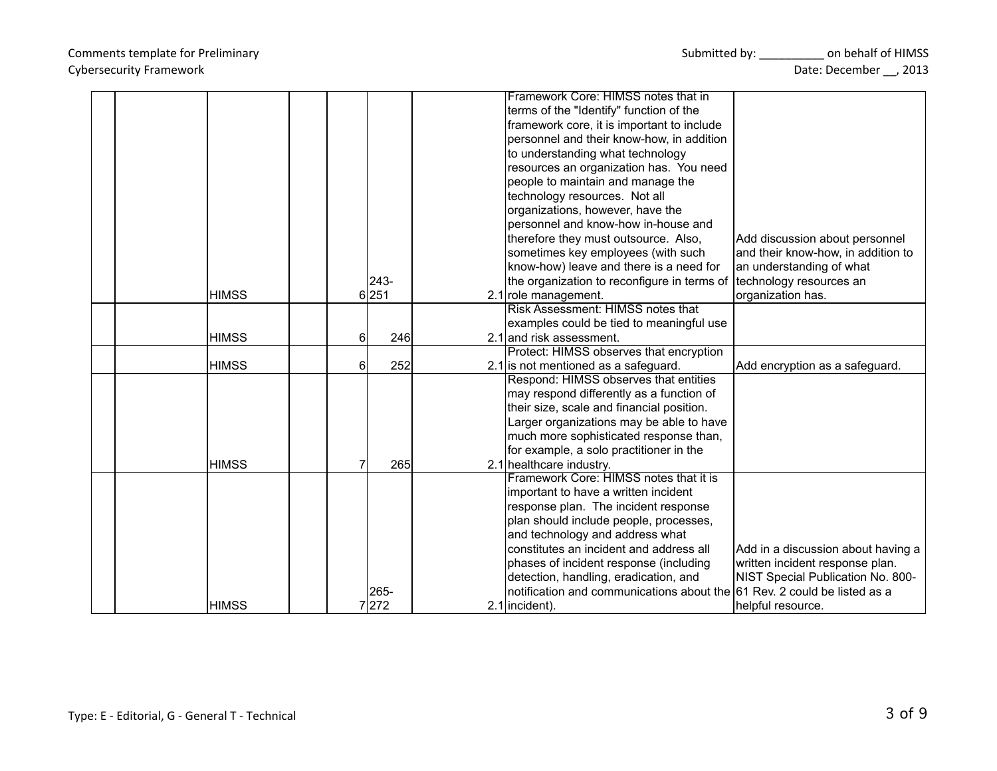|              |          | Framework Core: HIMSS notes that in                                      |                                    |
|--------------|----------|--------------------------------------------------------------------------|------------------------------------|
|              |          | terms of the "Identify" function of the                                  |                                    |
|              |          | framework core, it is important to include                               |                                    |
|              |          | personnel and their know-how, in addition                                |                                    |
|              |          | to understanding what technology                                         |                                    |
|              |          | resources an organization has. You need                                  |                                    |
|              |          | people to maintain and manage the                                        |                                    |
|              |          | technology resources. Not all                                            |                                    |
|              |          | organizations, however, have the                                         |                                    |
|              |          | personnel and know-how in-house and                                      |                                    |
|              |          | therefore they must outsource. Also,                                     | Add discussion about personnel     |
|              |          | sometimes key employees (with such                                       | and their know-how, in addition to |
|              |          | know-how) leave and there is a need for                                  | an understanding of what           |
|              | $243-$   | the organization to reconfigure in terms of                              | technology resources an            |
| <b>HIMSS</b> | 6 251    | 2.1 role management.                                                     | organization has.                  |
|              |          | Risk Assessment: HIMSS notes that                                        |                                    |
|              |          | examples could be tied to meaningful use                                 |                                    |
| <b>HIMSS</b> | 246<br>6 | 2.1 and risk assessment.                                                 |                                    |
|              |          | Protect: HIMSS observes that encryption                                  |                                    |
| <b>HIMSS</b> | 252<br>6 | 2.1 is not mentioned as a safeguard.                                     | Add encryption as a safeguard.     |
|              |          | Respond: HIMSS observes that entities                                    |                                    |
|              |          | may respond differently as a function of                                 |                                    |
|              |          | their size, scale and financial position.                                |                                    |
|              |          | Larger organizations may be able to have                                 |                                    |
|              |          | much more sophisticated response than,                                   |                                    |
|              |          | for example, a solo practitioner in the                                  |                                    |
| <b>HIMSS</b> | 265      | 2.1 healthcare industry.                                                 |                                    |
|              |          | Framework Core: HIMSS notes that it is                                   |                                    |
|              |          | important to have a written incident                                     |                                    |
|              |          | response plan. The incident response                                     |                                    |
|              |          | plan should include people, processes,                                   |                                    |
|              |          | and technology and address what                                          |                                    |
|              |          | constitutes an incident and address all                                  | Add in a discussion about having a |
|              |          | phases of incident response (including                                   | written incident response plan.    |
|              |          | detection, handling, eradication, and                                    | NIST Special Publication No. 800-  |
|              | 265-     | notification and communications about the 61 Rev. 2 could be listed as a |                                    |
| <b>HIMSS</b> | 7272     | 2.1 lincident).                                                          | Ihelpful resource.                 |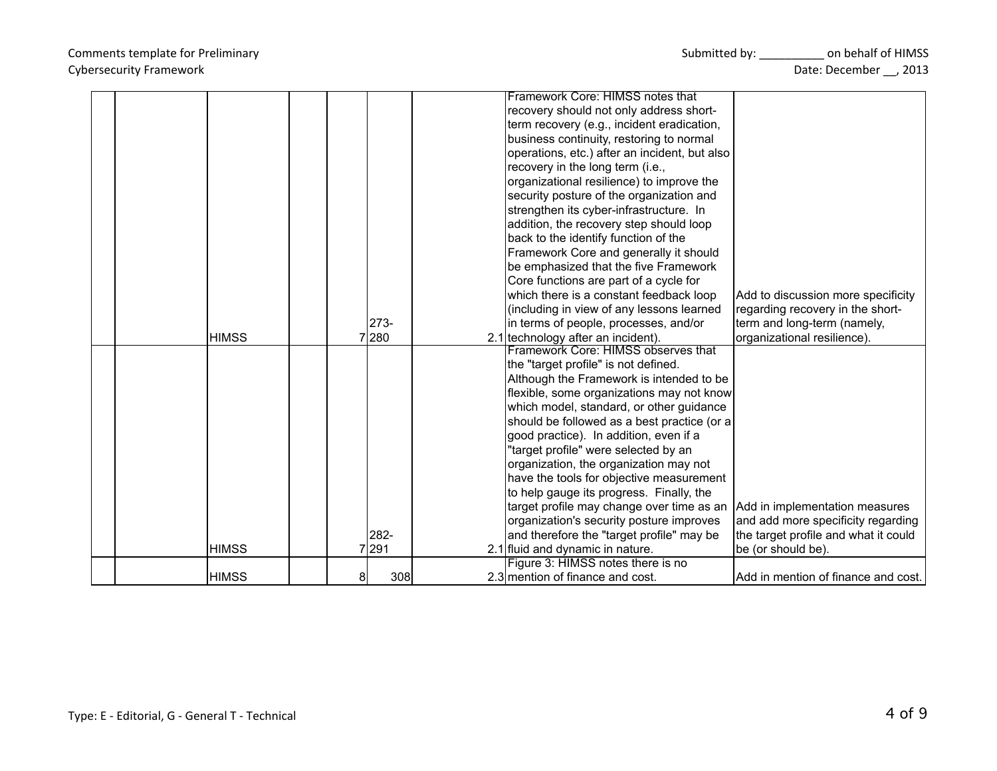|  |              |           | Framework Core: HIMSS notes that              |                                      |
|--|--------------|-----------|-----------------------------------------------|--------------------------------------|
|  |              |           | recovery should not only address short-       |                                      |
|  |              |           | term recovery (e.g., incident eradication,    |                                      |
|  |              |           | business continuity, restoring to normal      |                                      |
|  |              |           | operations, etc.) after an incident, but also |                                      |
|  |              |           | recovery in the long term (i.e.,              |                                      |
|  |              |           | organizational resilience) to improve the     |                                      |
|  |              |           | security posture of the organization and      |                                      |
|  |              |           | strengthen its cyber-infrastructure. In       |                                      |
|  |              |           | addition, the recovery step should loop       |                                      |
|  |              |           | back to the identify function of the          |                                      |
|  |              |           | Framework Core and generally it should        |                                      |
|  |              |           | be emphasized that the five Framework         |                                      |
|  |              |           | Core functions are part of a cycle for        |                                      |
|  |              |           | which there is a constant feedback loop       | Add to discussion more specificity   |
|  |              |           | (including in view of any lessons learned     | regarding recovery in the short-     |
|  |              | 273-      | in terms of people, processes, and/or         | term and long-term (namely,          |
|  | <b>HIMSS</b> | 7280      | 2.1 technology after an incident).            | organizational resilience).          |
|  |              |           | Framework Core: HIMSS observes that           |                                      |
|  |              |           | the "target profile" is not defined.          |                                      |
|  |              |           | Although the Framework is intended to be      |                                      |
|  |              |           | flexible, some organizations may not know     |                                      |
|  |              |           | which model, standard, or other guidance      |                                      |
|  |              |           | should be followed as a best practice (or a   |                                      |
|  |              |           | good practice). In addition, even if a        |                                      |
|  |              |           | "target profile" were selected by an          |                                      |
|  |              |           | organization, the organization may not        |                                      |
|  |              |           | have the tools for objective measurement      |                                      |
|  |              |           | to help gauge its progress. Finally, the      |                                      |
|  |              |           | target profile may change over time as an     | Add in implementation measures       |
|  |              |           | organization's security posture improves      | and add more specificity regarding   |
|  |              | 282-      | and therefore the "target profile" may be     | the target profile and what it could |
|  | <b>HIMSS</b> | 7291      | 2.1 fluid and dynamic in nature.              | be (or should be).                   |
|  |              |           | Figure 3: HIMSS notes there is no             |                                      |
|  | <b>HIMSS</b> | 308<br>81 | 2.3 mention of finance and cost.              | Add in mention of finance and cost.  |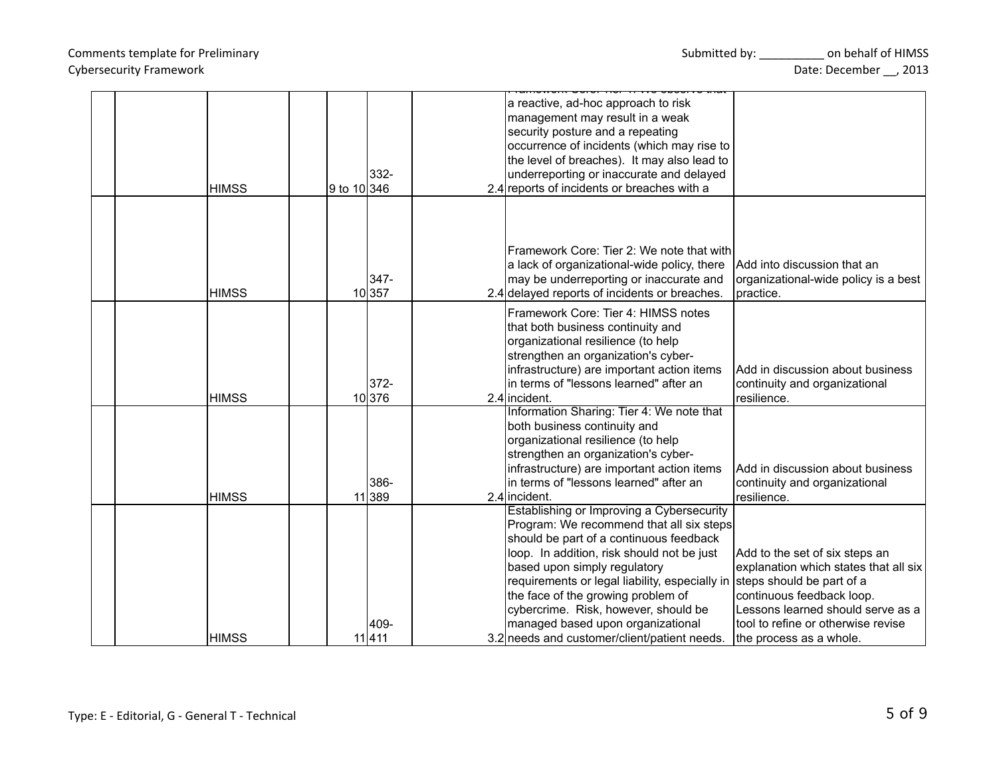### Type: E - Editorial, G - General T - Technical

## Cybersecurity Framework Date: December \_\_, 2013

| <b>HIMSS</b> | $332 -$<br>9 to $10 346$ | a reactive, ad-hoc approach to risk<br>management may result in a weak<br>security posture and a repeating<br>occurrence of incidents (which may rise to<br>the level of breaches). It may also lead to<br>underreporting or inaccurate and delayed<br>2.4 reports of incidents or breaches with a                                                                                                                                  |                                                                                                                                                                                                                                         |
|--------------|--------------------------|-------------------------------------------------------------------------------------------------------------------------------------------------------------------------------------------------------------------------------------------------------------------------------------------------------------------------------------------------------------------------------------------------------------------------------------|-----------------------------------------------------------------------------------------------------------------------------------------------------------------------------------------------------------------------------------------|
| <b>HIMSS</b> | $347 -$<br>10357         | Framework Core: Tier 2: We note that with<br>a lack of organizational-wide policy, there<br>may be underreporting or inaccurate and<br>2.4 delayed reports of incidents or breaches.                                                                                                                                                                                                                                                | IAdd into discussion that an<br>organizational-wide policy is a best<br>practice.                                                                                                                                                       |
| <b>HIMSS</b> | $372 -$<br>10376         | Framework Core: Tier 4: HIMSS notes<br>that both business continuity and<br>organizational resilience (to help<br>strengthen an organization's cyber-<br>infrastructure) are important action items<br>lin terms of "lessons learned" after an<br>2.4 incident.                                                                                                                                                                     | Add in discussion about business<br>continuity and organizational<br>resilience.                                                                                                                                                        |
| <b>HIMSS</b> | 386-<br>11 389           | Information Sharing: Tier 4: We note that<br>both business continuity and<br>organizational resilience (to help<br>strengthen an organization's cyber-<br>infrastructure) are important action items<br>in terms of "lessons learned" after an<br>2.4 incident.                                                                                                                                                                     | IAdd in discussion about business<br>continuity and organizational<br>resilience.                                                                                                                                                       |
| <b>HIMSS</b> | 409-<br>11411            | Establishing or Improving a Cybersecurity<br>Program: We recommend that all six steps<br>should be part of a continuous feedback<br>loop. In addition, risk should not be just<br>based upon simply regulatory<br>requirements or legal liability, especially in<br>the face of the growing problem of<br>cybercrime. Risk, however, should be<br>managed based upon organizational<br>3.2 needs and customer/client/patient needs. | Add to the set of six steps an<br>explanation which states that all six<br>steps should be part of a<br>continuous feedback loop.<br>Lessons learned should serve as a<br>tool to refine or otherwise revise<br>the process as a whole. |

Framework Core: Tier 1: We observe that

Comments template for Preliminary North Submitted by: North Submitted by: North Submitted by: North Submitted by: North Submitted by: North Submitted by: North Submitted by: North Submitted by: North Submitted by: North Su

 $\overline{\phantom{a}}$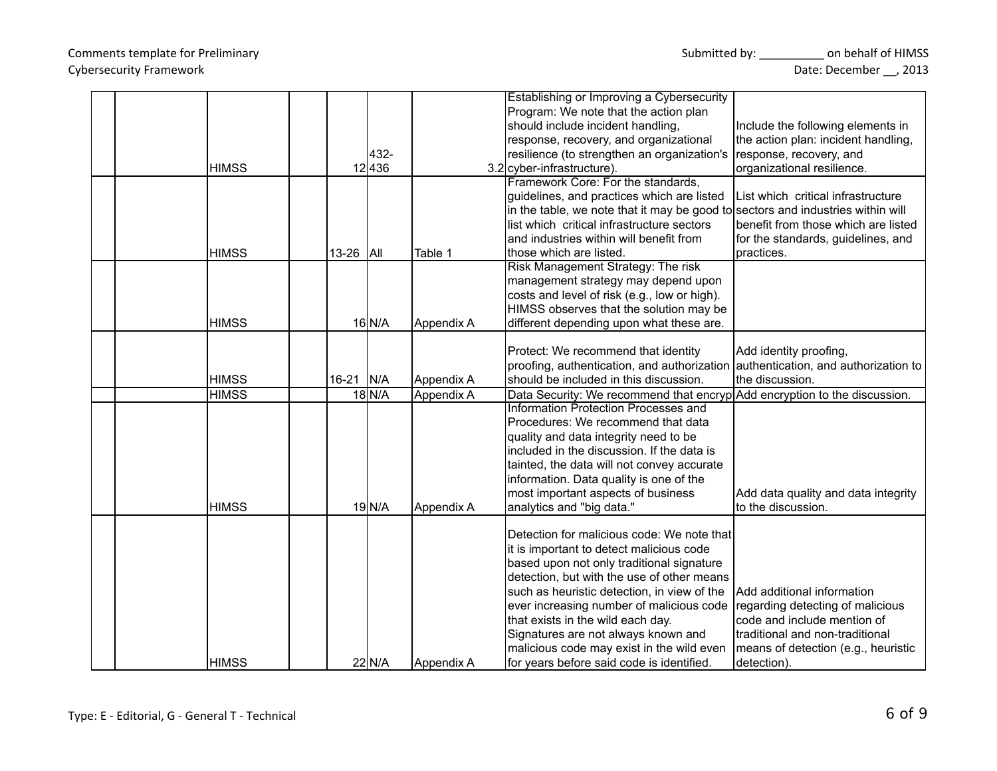|              |             |      |             | Establishing or Improving a Cybersecurity                                                                         |                                     |
|--------------|-------------|------|-------------|-------------------------------------------------------------------------------------------------------------------|-------------------------------------|
|              |             |      |             | Program: We note that the action plan                                                                             |                                     |
|              |             |      |             | should include incident handling,                                                                                 | Include the following elements in   |
|              |             |      |             | response, recovery, and organizational                                                                            | the action plan: incident handling, |
|              |             | 432- |             | resilience (to strengthen an organization's                                                                       | response, recovery, and             |
| <b>HIMSS</b> | 12436       |      |             | 3.2 cyber-infrastructure).                                                                                        | organizational resilience.          |
|              |             |      |             | Framework Core: For the standards,                                                                                |                                     |
|              |             |      |             | guidelines, and practices which are listed                                                                        | List which critical infrastructure  |
|              |             |      |             | in the table, we note that it may be good to sectors and industries within will                                   |                                     |
|              |             |      |             | list which critical infrastructure sectors                                                                        | benefit from those which are listed |
|              |             |      |             | and industries within will benefit from                                                                           | for the standards, guidelines, and  |
| <b>HIMSS</b> | $13-26$ All |      | Table 1     | those which are listed.                                                                                           | practices.                          |
|              |             |      |             | Risk Management Strategy: The risk                                                                                |                                     |
|              |             |      |             | management strategy may depend upon                                                                               |                                     |
|              |             |      |             | costs and level of risk (e.g., low or high).                                                                      |                                     |
|              |             |      |             | HIMSS observes that the solution may be                                                                           |                                     |
| <b>HIMSS</b> | $16$ N/A    |      | Appendix A  | different depending upon what these are.                                                                          |                                     |
|              |             |      |             |                                                                                                                   |                                     |
|              |             |      |             | Protect: We recommend that identity                                                                               | Add identity proofing,              |
|              |             |      |             | proofing, authentication, and authorization authentication, and authorization to                                  |                                     |
| <b>HIMSS</b> | 16-21   N/A |      | Appendix A  | should be included in this discussion.                                                                            | the discussion.                     |
| <b>HIMSS</b> | $18$ N/A    |      |             |                                                                                                                   |                                     |
|              |             |      | Appendix A  | Data Security: We recommend that encryp Add encryption to the discussion.<br>Information Protection Processes and |                                     |
|              |             |      |             | Procedures: We recommend that data                                                                                |                                     |
|              |             |      |             |                                                                                                                   |                                     |
|              |             |      |             | quality and data integrity need to be                                                                             |                                     |
|              |             |      |             | included in the discussion. If the data is                                                                        |                                     |
|              |             |      |             | tainted, the data will not convey accurate                                                                        |                                     |
|              |             |      |             | information. Data quality is one of the                                                                           |                                     |
|              |             |      |             | most important aspects of business                                                                                | Add data quality and data integrity |
| <b>HIMSS</b> | $19$ $N/A$  |      | Appendix A  | analytics and "big data."                                                                                         | to the discussion.                  |
|              |             |      |             |                                                                                                                   |                                     |
|              |             |      |             | Detection for malicious code: We note that                                                                        |                                     |
|              |             |      |             | it is important to detect malicious code                                                                          |                                     |
|              |             |      |             | based upon not only traditional signature                                                                         |                                     |
|              |             |      |             | detection, but with the use of other means                                                                        |                                     |
|              |             |      |             | such as heuristic detection, in view of the                                                                       | Add additional information          |
|              |             |      |             | ever increasing number of malicious code                                                                          | regarding detecting of malicious    |
|              |             |      |             | that exists in the wild each day.                                                                                 | code and include mention of         |
|              |             |      |             | Signatures are not always known and                                                                               | traditional and non-traditional     |
|              |             |      |             | malicious code may exist in the wild even                                                                         | means of detection (e.g., heuristic |
| <b>HIMSS</b> | $22$ N/A    |      | IAppendix A | for years before said code is identified.                                                                         | detection).                         |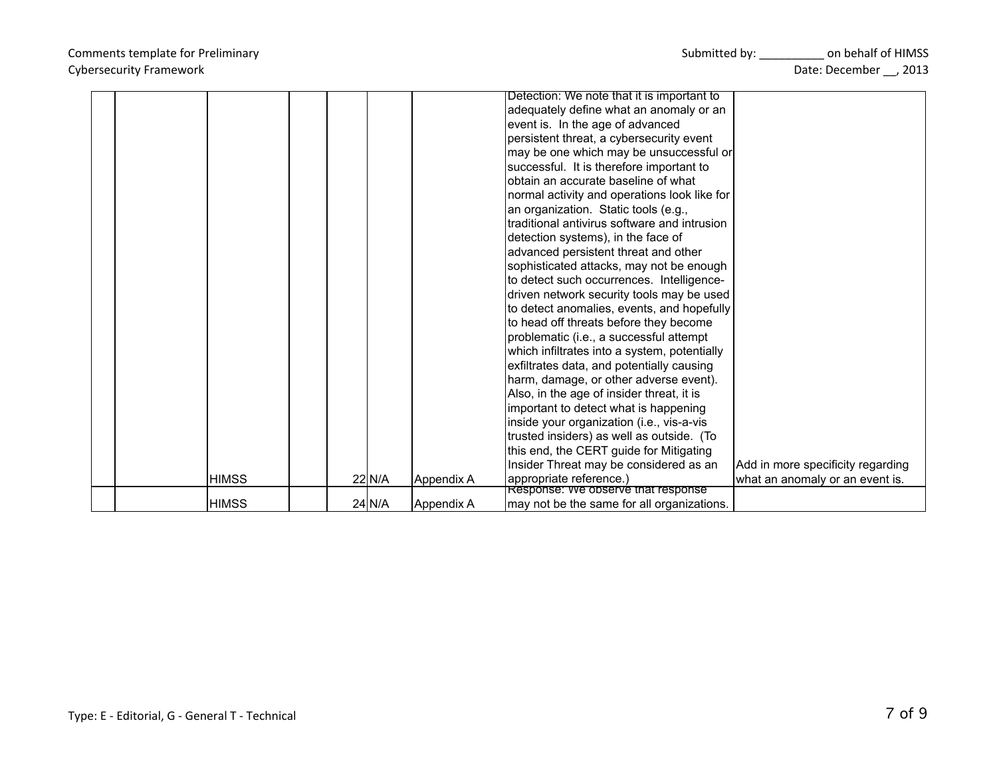|              |        |            | Detection: We note that it is important to                    |                                   |
|--------------|--------|------------|---------------------------------------------------------------|-----------------------------------|
|              |        |            | adequately define what an anomaly or an                       |                                   |
|              |        |            | event is. In the age of advanced                              |                                   |
|              |        |            | persistent threat, a cybersecurity event                      |                                   |
|              |        |            | may be one which may be unsuccessful or                       |                                   |
|              |        |            | successful. It is therefore important to                      |                                   |
|              |        |            | lobtain an accurate baseline of what                          |                                   |
|              |        |            | normal activity and operations look like for                  |                                   |
|              |        |            | an organization. Static tools (e.g.,                          |                                   |
|              |        |            | Itraditional antivirus software and intrusion                 |                                   |
|              |        |            | detection systems), in the face of                            |                                   |
|              |        |            | advanced persistent threat and other                          |                                   |
|              |        |            | sophisticated attacks, may not be enough                      |                                   |
|              |        |            | to detect such occurrences. Intelligence-                     |                                   |
|              |        |            | driven network security tools may be used                     |                                   |
|              |        |            | to detect anomalies, events, and hopefully                    |                                   |
|              |        |            | to head off threats before they become                        |                                   |
|              |        |            | problematic (i.e., a successful attempt                       |                                   |
|              |        |            | which infiltrates into a system, potentially                  |                                   |
|              |        |            | exfiltrates data, and potentially causing                     |                                   |
|              |        |            | harm, damage, or other adverse event).                        |                                   |
|              |        |            | Also, in the age of insider threat, it is                     |                                   |
|              |        |            | important to detect what is happening                         |                                   |
|              |        |            | inside your organization (i.e., vis-a-vis                     |                                   |
|              |        |            | trusted insiders) as well as outside. (To                     |                                   |
|              |        |            | this end, the CERT guide for Mitigating                       |                                   |
|              |        |            | Insider Threat may be considered as an                        | Add in more specificity regarding |
| <b>HIMSS</b> | 22 N/A | Appendix A | appropriate reference.)<br>Response: We observe that response | what an anomaly or an event is.   |
| <b>HIMSS</b> | 24 N/A | Appendix A | may not be the same for all organizations.                    |                                   |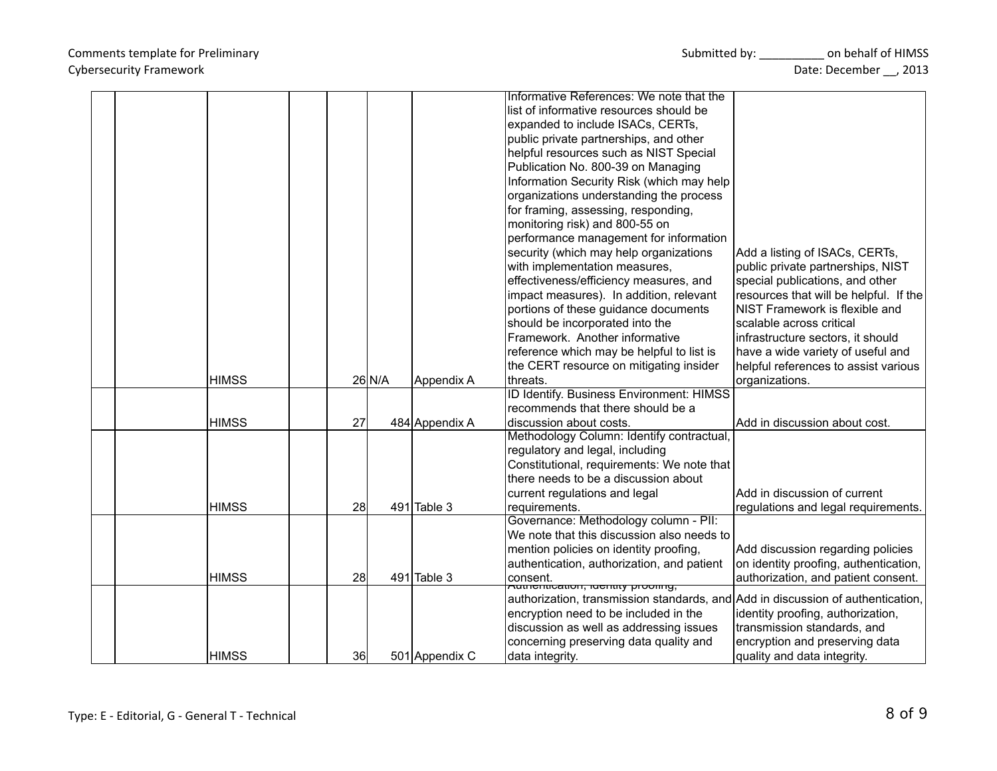|  |              |     |          |                | Informative References: We note that the                                         |                                                                  |
|--|--------------|-----|----------|----------------|----------------------------------------------------------------------------------|------------------------------------------------------------------|
|  |              |     |          |                | list of informative resources should be                                          |                                                                  |
|  |              |     |          |                | expanded to include ISACs, CERTs,                                                |                                                                  |
|  |              |     |          |                | public private partnerships, and other                                           |                                                                  |
|  |              |     |          |                | helpful resources such as NIST Special                                           |                                                                  |
|  |              |     |          |                | Publication No. 800-39 on Managing                                               |                                                                  |
|  |              |     |          |                | Information Security Risk (which may help                                        |                                                                  |
|  |              |     |          |                | organizations understanding the process                                          |                                                                  |
|  |              |     |          |                | for framing, assessing, responding,                                              |                                                                  |
|  |              |     |          |                | monitoring risk) and 800-55 on                                                   |                                                                  |
|  |              |     |          |                | performance management for information                                           |                                                                  |
|  |              |     |          |                | security (which may help organizations                                           | Add a listing of ISACs, CERTs,                                   |
|  |              |     |          |                | with implementation measures,                                                    | public private partnerships, NIST                                |
|  |              |     |          |                | effectiveness/efficiency measures, and                                           | special publications, and other                                  |
|  |              |     |          |                | impact measures). In addition, relevant                                          | resources that will be helpful. If the                           |
|  |              |     |          |                | portions of these guidance documents                                             | <b>NIST Framework is flexible and</b>                            |
|  |              |     |          |                | should be incorporated into the                                                  | scalable across critical                                         |
|  |              |     |          |                | Framework. Another informative                                                   | infrastructure sectors, it should                                |
|  |              |     |          |                | reference which may be helpful to list is                                        | have a wide variety of useful and                                |
|  |              |     |          |                | the CERT resource on mitigating insider                                          | helpful references to assist various                             |
|  | <b>HIMSS</b> |     | $26$ N/A | Appendix A     | threats.                                                                         | organizations.                                                   |
|  |              |     |          |                | ID Identify. Business Environment: HIMSS                                         |                                                                  |
|  |              |     |          |                | recommends that there should be a                                                |                                                                  |
|  | <b>HIMSS</b> | 27  |          | 484 Appendix A | discussion about costs.                                                          | Add in discussion about cost.                                    |
|  |              |     |          |                | Methodology Column: Identify contractual                                         |                                                                  |
|  |              |     |          |                | regulatory and legal, including                                                  |                                                                  |
|  |              |     |          |                | Constitutional, requirements: We note that                                       |                                                                  |
|  |              |     |          |                | there needs to be a discussion about                                             |                                                                  |
|  |              |     |          |                | current regulations and legal                                                    | Add in discussion of current                                     |
|  | <b>HIMSS</b> | 28  |          | 491 Table 3    | requirements.                                                                    | regulations and legal requirements.                              |
|  |              |     |          |                | Governance: Methodology column - PII:                                            |                                                                  |
|  |              |     |          |                | We note that this discussion also needs to                                       |                                                                  |
|  |              |     |          |                | mention policies on identity proofing,                                           | Add discussion regarding policies                                |
|  |              |     |          |                | authentication, authorization, and patient                                       | on identity proofing, authentication,                            |
|  | <b>HIMSS</b> | 28  |          | $491$ Table 3  | consent.                                                                         | authorization, and patient consent.                              |
|  |              |     |          |                | <del>Autrichtication, luchtity proomly,</del>                                    |                                                                  |
|  |              |     |          |                | authorization, transmission standards, and Add in discussion of authentication,  |                                                                  |
|  |              |     |          |                | encryption need to be included in the<br>discussion as well as addressing issues | identity proofing, authorization,<br>transmission standards, and |
|  |              |     |          |                |                                                                                  |                                                                  |
|  |              |     |          |                | concerning preserving data quality and                                           | encryption and preserving data                                   |
|  | <b>HIMSS</b> | 36l |          | 501 Appendix C | data integrity.                                                                  | quality and data integrity.                                      |